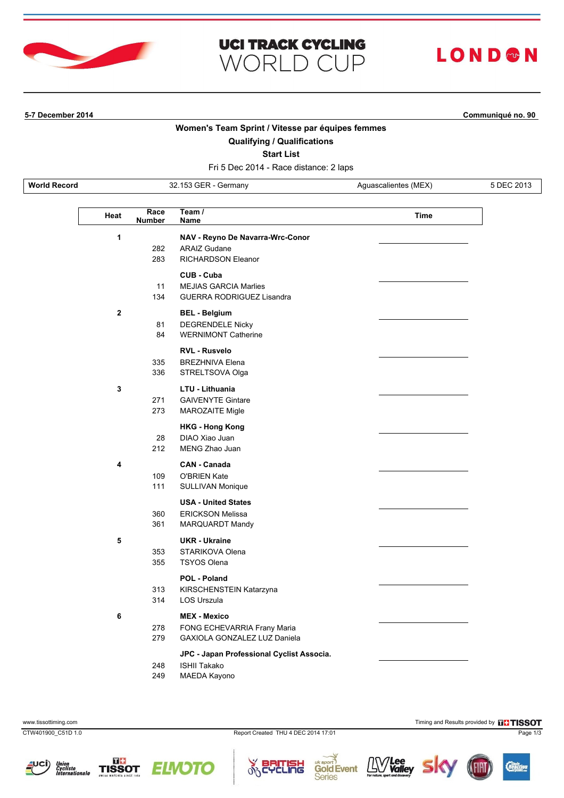

# **UCI TRACK CYCLING WORLD CUP**

# **LOND®N**

**5-7 December 2014 Communiqué no. 90**

### **Women's Team Sprint / Vitesse par équipes femmes**

## **Qualifying / Qualifications**

**Start List**

Fri 5 Dec 2014 - Race distance: 2 laps

**World Record** 32.153 GER - Germany Aguascalientes (MEX) 5 DEC 2013

| Heat | Race<br><b>Number</b> | Team /<br>Name                                                                          | Time |
|------|-----------------------|-----------------------------------------------------------------------------------------|------|
| 1    | 282<br>283            | NAV - Reyno De Navarra-Wrc-Conor<br><b>ARAIZ Gudane</b><br><b>RICHARDSON Eleanor</b>    |      |
|      | 11<br>134             | CUB - Cuba<br><b>MEJIAS GARCIA Marlies</b><br><b>GUERRA RODRIGUEZ Lisandra</b>          |      |
| 2    | 81<br>84              | <b>BEL - Belgium</b><br><b>DEGRENDELE Nicky</b><br><b>WERNIMONT Catherine</b>           |      |
|      | 335<br>336            | <b>RVL - Rusvelo</b><br><b>BREZHNIVA Elena</b><br>STRELTSOVA Olga                       |      |
| 3    | 271<br>273            | LTU - Lithuania<br><b>GAIVENYTE Gintare</b><br><b>MAROZAITE Migle</b>                   |      |
|      | 28<br>212             | <b>HKG - Hong Kong</b><br>DIAO Xiao Juan<br>MENG Zhao Juan                              |      |
| 4    | 109<br>111            | <b>CAN - Canada</b><br><b>O'BRIEN Kate</b><br><b>SULLIVAN Monique</b>                   |      |
|      | 360<br>361            | <b>USA - United States</b><br><b>ERICKSON Melissa</b><br>MARQUARDT Mandy                |      |
| 5    | 353<br>355            | <b>UKR</b> - Ukraine<br>STARIKOVA Olena<br><b>TSYOS Olena</b>                           |      |
|      | 313<br>314            | POL - Poland<br>KIRSCHENSTEIN Katarzyna<br><b>LOS Urszula</b>                           |      |
| 6    | 278<br>279            | <b>MEX - Mexico</b><br>FONG ECHEVARRIA Frany Maria<br>GAXIOLA GONZALEZ LUZ Daniela      |      |
|      | 248<br>249            | JPC - Japan Professional Cyclist Associa.<br><b>ISHII Takako</b><br><b>MAEDA Kayono</b> |      |

www.tissottiming.com **Timing and Results provided by ELTISSOT** 

CTW401900\_C51D 1.0 Report Created THU 4 DEC 2014 17:01 Page 1/3

cung













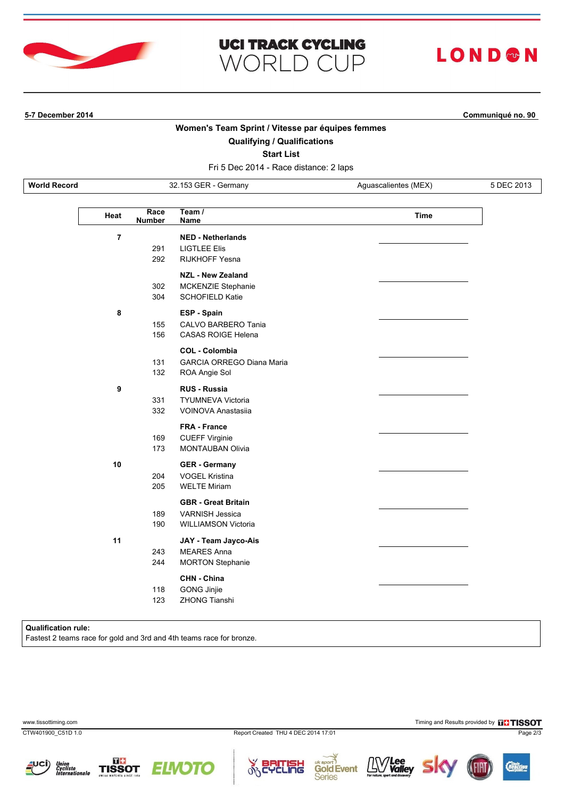

# **UCI TRACK CYCLING WORLD CUP**

# LOND®N

**5-7 December 2014 Communiqué no. 90**

### **Women's Team Sprint / Vitesse par équipes femmes**

#### **Qualifying / Qualifications**

**Start List**

Fri 5 Dec 2014 - Race distance: 2 laps

**World Record** 32.153 GER - Germany Aguascalientes (MEX) 5 DEC 2013

| Heat           | Race<br><b>Number</b> | Team $\overline{I}$<br><b>Name</b>                                                 | Time |
|----------------|-----------------------|------------------------------------------------------------------------------------|------|
| $\overline{7}$ | 291<br>292            | <b>NED - Netherlands</b><br><b>LIGTLEE Elis</b><br><b>RIJKHOFF Yesna</b>           |      |
|                | 302<br>304            | <b>NZL - New Zealand</b><br>MCKENZIE Stephanie<br><b>SCHOFIELD Katie</b>           |      |
| 8              | 155<br>156            | ESP - Spain<br>CALVO BARBERO Tania<br>CASAS ROIGE Helena                           |      |
|                | 131<br>132            | <b>COL - Colombia</b><br><b>GARCIA ORREGO Diana Maria</b><br>ROA Angie Sol         |      |
| 9              | 331<br>332            | <b>RUS - Russia</b><br><b>TYUMNEVA Victoria</b><br>VOINOVA Anastasija              |      |
|                | 169<br>173            | <b>FRA - France</b><br><b>CUEFF Virginie</b><br><b>MONTAUBAN Olivia</b>            |      |
| 10             | 204<br>205            | <b>GER</b> - Germany<br><b>VOGEL Kristina</b><br><b>WELTE Miriam</b>               |      |
|                | 189<br>190            | <b>GBR</b> - Great Britain<br><b>VARNISH Jessica</b><br><b>WILLIAMSON Victoria</b> |      |
| 11             | 243<br>244            | JAY - Team Jayco-Ais<br><b>MEARES Anna</b><br><b>MORTON Stephanie</b>              |      |
|                | 118<br>123            | <b>CHN - China</b><br>GONG Jinjie<br><b>ZHONG Tianshi</b>                          |      |

#### **Qualification rule:**

Fastest 2 teams race for gold and 3rd and 4th teams race for bronze.

www.tissottiming.com **Timing and Results provided by FITISSOT** 

CTW401900\_C51D 1.0 Report Created THU 4 DEC 2014 17:01 Page 2/3